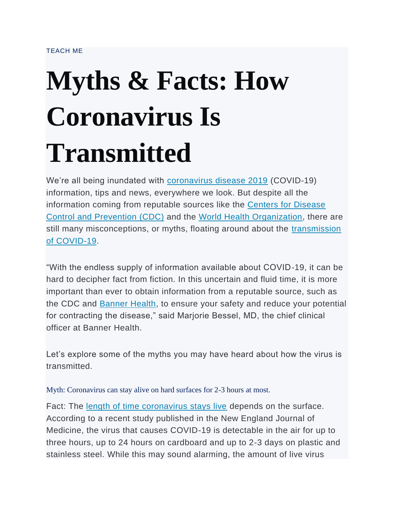## **Myths & Facts: How Coronavirus Is Transmitted**

We're all being inundated with [coronavirus disease 2019](https://www.bannerhealth.com/en/patients/patient-resources/covid-19) (COVID-19) information, tips and news, everywhere we look. But despite all the information coming from reputable sources like the [Centers for Disease](https://www.cdc.gov/coronavirus/2019-nCoV/index.html)  [Control and Prevention \(CDC\)](https://www.cdc.gov/coronavirus/2019-nCoV/index.html) and the [World Health Organization,](https://www.who.int/emergencies/diseases/novel-coronavirus-2019) there are still many misconceptions, or myths, floating around about the transmission [of COVID-19.](https://www.cdc.gov/coronavirus/2019-ncov/symptoms-testing/share-facts.html?CDC_AA_refVal=https%3A%2F%2Fwww.cdc.gov%2Fcoronavirus%2F2019-ncov%2Fabout%2Fshare-facts.html)

"With the endless supply of information available about COVID-19, it can be hard to decipher fact from fiction. In this uncertain and fluid time, it is more important than ever to obtain information from a reputable source, such as the CDC and [Banner Health,](https://www.bannerhealth.com/en/patients/patient-resources/covid-19) to ensure your safety and reduce your potential for contracting the disease," said Marjorie Bessel, MD, the chief clinical officer at Banner Health.

Let's explore some of the myths you may have heard about how the virus is transmitted.

Myth: Coronavirus can stay alive on hard surfaces for 2-3 hours at most.

Fact: The [length of time coronavirus stays live](https://www.nih.gov/news-events/news-releases/new-coronavirus-stable-hours-surfaces) depends on the surface. According to a recent study published in the New England Journal of Medicine, the virus that causes COVID-19 is detectable in the air for up to three hours, up to 24 hours on cardboard and up to 2-3 days on plastic and stainless steel. While this may sound alarming, the amount of live virus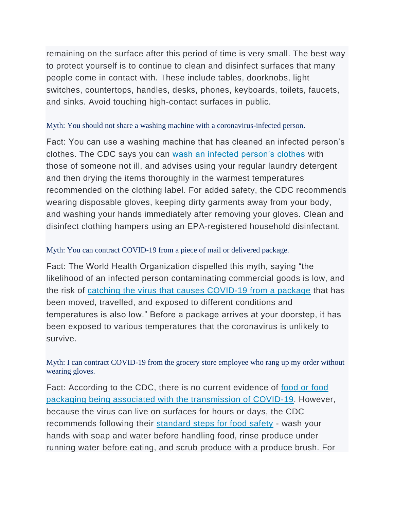remaining on the surface after this period of time is very small. The best way to protect yourself is to continue to clean and disinfect surfaces that many people come in contact with. These include tables, doorknobs, light switches, countertops, handles, desks, phones, keyboards, toilets, faucets, and sinks. Avoid touching high-contact surfaces in public.

## Myth: You should not share a washing machine with a coronavirus-infected person.

Fact: You can use a washing machine that has cleaned an infected person's clothes. The CDC says you can [wash an infected person's clothes](https://www.cdc.gov/coronavirus/2019-ncov/prepare/disinfecting-your-home.html) with those of someone not ill, and advises using your regular laundry detergent and then drying the items thoroughly in the warmest temperatures recommended on the clothing label. For added safety, the CDC recommends wearing disposable gloves, keeping dirty garments away from your body, and washing your hands immediately after removing your gloves. Clean and disinfect clothing hampers using an EPA-registered household disinfectant.

## Myth: You can contract COVID-19 from a piece of mail or delivered package.

Fact: The World Health Organization dispelled this myth, saying "the likelihood of an infected person contaminating commercial goods is low, and the risk of [catching the virus that causes COVID-19 from a package](https://www.who.int/news-room/q-a-detail/q-a-coronaviruses) that has been moved, travelled, and exposed to different conditions and temperatures is also low." Before a package arrives at your doorstep, it has been exposed to various temperatures that the coronavirus is unlikely to survive.

Myth: I can contract COVID-19 from the grocery store employee who rang up my order without wearing gloves.

Fact: According to the CDC, there is no current evidence of food or food [packaging being associated with the transmission of COVID-19.](https://www.fda.gov/emergency-preparedness-and-response/mcm-issues/coronavirus-disease-2019-covid-19-frequently-asked-questions) However, because the virus can live on surfaces for hours or days, the CDC recommends following their [standard steps for food safety](https://www.foodsafety.gov/keep-food-safe/4-steps-to-food-safety) - wash your hands with soap and water before handling food, rinse produce under running water before eating, and scrub produce with a produce brush. For